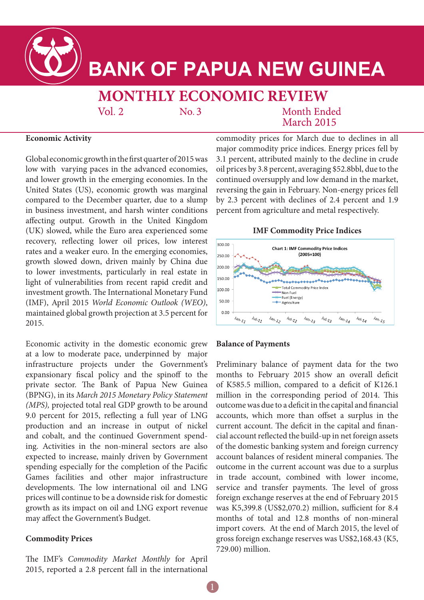

# **BANK OF PAPUA NEW GUINEA**

# **MONTHLY ECONOMIC REVIEW**

 $Vol. 2$ 

 $No.3$ 

Month Ended **March 2015** 

# **Economic Activity**

Global economic growth in the first quarter of 2015 was low with varying paces in the advanced economies, and lower growth in the emerging economies. In the United States (US), economic growth was marginal compared to the December quarter, due to a slump in business investment, and harsh winter conditions affecting output. Growth in the United Kingdom (UK) slowed, while the Euro area experienced some recovery, reflecting lower oil prices, low interest rates and a weaker euro. In the emerging economies, growth slowed down, driven mainly by China due to lower investments, particularly in real estate in light of vulnerabilities from recent rapid credit and investment growth. The International Monetary Fund (IMF), April 2015 *World Economic Outlook (WEO)*, maintained global growth projection at 3.5 percent for 2015.

Economic activity in the domestic economic grew at a low to moderate pace, underpinned by major infrastructure projects under the Government's expansionary fiscal policy and the spinoff to the private sector. The Bank of Papua New Guinea (BPNG), in its *March 2015 Monetary Policy Statement (MPS),* projected total real GDP growth to be around 9.0 percent for 2015, reflecting a full year of LNG production and an increase in output of nickel and cobalt, and the continued Government spending. Activities in the non-mineral sectors are also expected to increase, mainly driven by Government spending especially for the completion of the Pacific Games facilities and other major infrastructure developments. The low international oil and LNG prices will continue to be a downside risk for domestic growth as its impact on oil and LNG export revenue may affect the Government's Budget.

# **Commodity Prices**

The IMF's *Commodity Market Monthly* for April 2015, reported a 2.8 percent fall in the international

commodity prices for March due to declines in all major commodity price indices. Energy prices fell by 3.1 percent, attributed mainly to the decline in crude oil prices by 3.8 percent, averaging \$52.8bbl, due to the continued oversupply and low demand in the market, reversing the gain in February. Non-energy prices fell by 2.3 percent with declines of 2.4 percent and 1.9 percent from agriculture and metal respectively.

### **IMF Commodity Price Indices**



#### **Balance of Payments**

Preliminary balance of payment data for the two months to February 2015 show an overall deficit of K585.5 million, compared to a deficit of K126.1 million in the corresponding period of 2014. This outcome was due to a deficit in the capital and financial accounts, which more than offset a surplus in the current account. The deficit in the capital and financial account reflected the build-up in net foreign assets of the domestic banking system and foreign currency account balances of resident mineral companies. The outcome in the current account was due to a surplus in trade account, combined with lower income, service and transfer payments. The level of gross foreign exchange reserves at the end of February 2015 was K5,399.8 (US\$2,070.2) million, sufficient for 8.4 months of total and 12.8 months of non-mineral import covers. At the end of March 2015, the level of gross foreign exchange reserves was US\$2,168.43 (K5, 729.00) million.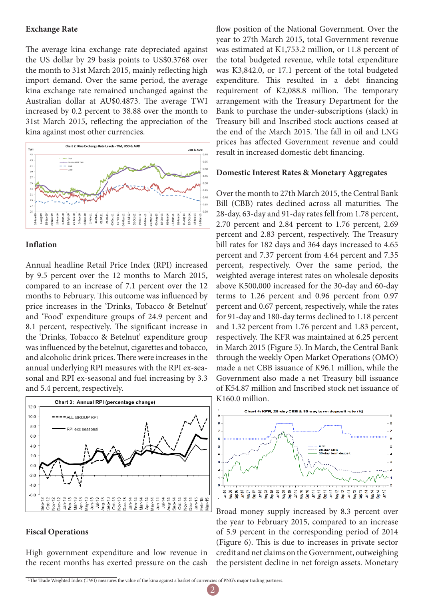#### **Exchange Rate**

The average kina exchange rate depreciated against the US dollar by 29 basis points to US\$0.3768 over the month to 31st March 2015, mainly reflecting high import demand. Over the same period, the average kina exchange rate remained unchanged against the Australian dollar at AU\$0.4873. The average TWI increased by 0.2 percent to 38.88 over the month to 31st March 2015, reflecting the appreciation of the kina against most other currencies.



#### **Inflation**

Annual headline Retail Price Index (RPI) increased by 9.5 percent over the 12 months to March 2015, compared to an increase of 7.1 percent over the 12 months to February. This outcome was influenced by price increases in the 'Drinks, Tobacco & Betelnut' and 'Food' expenditure groups of 24.9 percent and 8.1 percent, respectively. The significant increase in the 'Drinks, Tobacco & Betelnut' expenditure group was influenced by the betelnut, cigarettes and tobacco, and alcoholic drink prices. There were increases in the annual underlying RPI measures with the RPI ex-seasonal and RPI ex-seasonal and fuel increasing by 3.3 and 5.4 percent, respectively.



#### **Fiscal Operations**

High government expenditure and low revenue in the recent months has exerted pressure on the cash flow position of the National Government. Over the year to 27th March 2015, total Government revenue was estimated at K1,753.2 million, or 11.8 percent of the total budgeted revenue, while total expenditure was K3,842.0, or 17.1 percent of the total budgeted expenditure. This resulted in a debt financing requirement of K2,088.8 million. The temporary arrangement with the Treasury Department for the Bank to purchase the under-subscriptions (slack) in Treasury bill and Inscribed stock auctions ceased at the end of the March 2015. The fall in oil and LNG prices has affected Government revenue and could result in increased domestic debt financing.

#### **Domestic Interest Rates & Monetary Aggregates**

Over the month to 27th March 2015, the Central Bank Bill (CBB) rates declined across all maturities. The 28-day, 63-day and 91-day rates fell from 1.78 percent, 2.70 percent and 2.84 percent to 1.76 percent, 2.69 percent and 2.83 percent, respectively. The Treasury bill rates for 182 days and 364 days increased to 4.65 percent and 7.37 percent from 4.64 percent and 7.35 percent, respectively. Over the same period, the weighted average interest rates on wholesale deposits above K500,000 increased for the 30-day and 60-day terms to 1.26 percent and 0.96 percent from 0.97 percent and 0.67 percent, respectively, while the rates for 91-day and 180-day terms declined to 1.18 percent and 1.32 percent from 1.76 percent and 1.83 percent, respectively. The KFR was maintained at 6.25 percent in March 2015 (Figure 5). In March, the Central Bank through the weekly Open Market Operations (OMO) made a net CBB issuance of K96.1 million, while the Government also made a net Treasury bill issuance of K54.87 million and Inscribed stock net issuance of K160.0 million.



Broad money supply increased by 8.3 percent over the year to February 2015, compared to an increase of 5.9 percent in the corresponding period of 2014 (Figure 6). This is due to increases in private sector credit and net claims on the Government, outweighing the persistent decline in net foreign assets. Monetary

<sup>&</sup>lt;sup>1</sup>The Trade Weighted Index (TWI) measures the value of the kina against a basket of currencies of PNG's major trading partners.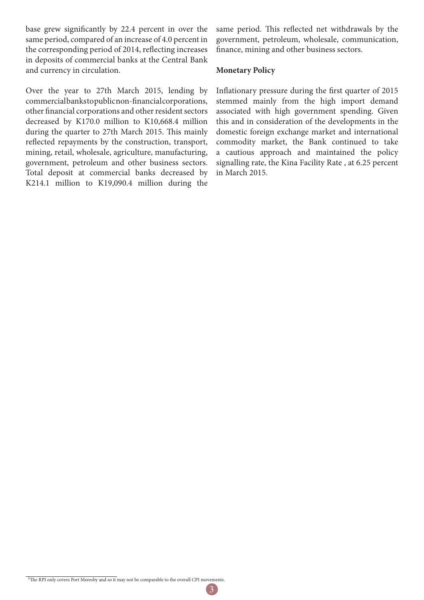base grew significantly by 22.4 percent in over the same period, compared of an increase of 4.0 percent in the corresponding period of 2014, reflecting increases in deposits of commercial banks at the Central Bank and currency in circulation.

Over the year to 27th March 2015, lending by commercial banks to public non-financial corporations, other financial corporations and other resident sectors decreased by K170.0 million to K10,668.4 million during the quarter to 27th March 2015. This mainly reflected repayments by the construction, transport, mining, retail, wholesale, agriculture, manufacturing, government, petroleum and other business sectors. Total deposit at commercial banks decreased by K214.1 million to K19,090.4 million during the

same period. This reflected net withdrawals by the government, petroleum, wholesale, communication, finance, mining and other business sectors.

#### **Monetary Policy**

Inflationary pressure during the first quarter of 2015 stemmed mainly from the high import demand associated with high government spending. Given this and in consideration of the developments in the domestic foreign exchange market and international commodity market, the Bank continued to take a cautious approach and maintained the policy signalling rate, the Kina Facility Rate , at 6.25 percent in March 2015.

3

<sup>&</sup>lt;sup>1</sup>The RPI only covers Port Moresby and so it may not be comparable to the overall CPI movements.